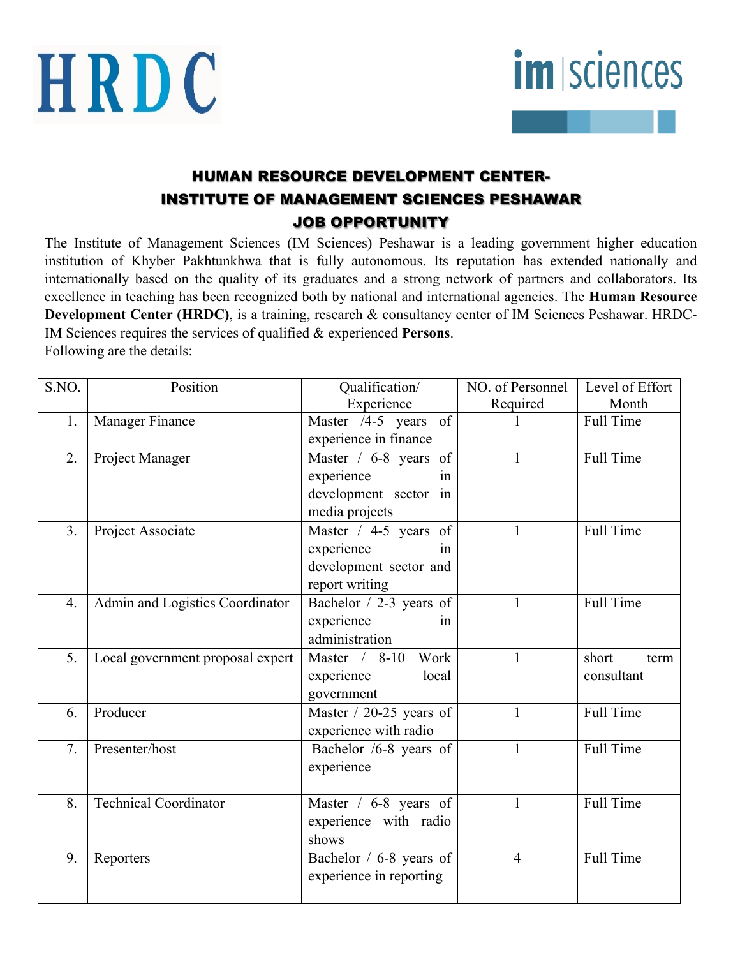



# HUMAN RESOURCE DEVELOPMENT CENTER-INSTITUTE OF MANAGEMENT SCIENCES PESHAWAR JOB OPPORTUNITY

The Institute of Management Sciences (IM Sciences) Peshawar is a leading government higher education institution of Khyber Pakhtunkhwa that is fully autonomous. Its reputation has extended nationally and internationally based on the quality of its graduates and a strong network of partners and collaborators. Its excellence in teaching has been recognized both by national and international agencies. The **Human Resource Development Center (HRDC)**, is a training, research & consultancy center of IM Sciences Peshawar. HRDC-IM Sciences requires the services of qualified & experienced **Persons**. Following are the details:

| S.NO.            | Position                         | Qualification/            | NO. of Personnel | Level of Effort  |
|------------------|----------------------------------|---------------------------|------------------|------------------|
|                  |                                  | Experience                | Required         | Month            |
| 1.               | Manager Finance                  | Master /4-5 years of      |                  | <b>Full Time</b> |
|                  |                                  | experience in finance     |                  |                  |
| $\overline{2}$ . | Project Manager                  | Master / 6-8 years of     | 1                | <b>Full Time</b> |
|                  |                                  | experience<br>in          |                  |                  |
|                  |                                  | development sector in     |                  |                  |
|                  |                                  | media projects            |                  |                  |
| 3 <sub>1</sub>   | Project Associate                | Master / 4-5 years of     | $\mathbf{1}$     | <b>Full Time</b> |
|                  |                                  | experience<br>in          |                  |                  |
|                  |                                  | development sector and    |                  |                  |
|                  |                                  | report writing            |                  |                  |
| $\overline{4}$ . | Admin and Logistics Coordinator  | Bachelor / 2-3 years of   | $\mathbf{1}$     | <b>Full Time</b> |
|                  |                                  | experience<br>in          |                  |                  |
|                  |                                  | administration            |                  |                  |
| 5.               | Local government proposal expert | Master / 8-10<br>Work     | $\mathbf{1}$     | short<br>term    |
|                  |                                  | experience<br>local       |                  | consultant       |
|                  |                                  | government                |                  |                  |
| 6.               | Producer                         | Master $/$ 20-25 years of | $\mathbf{1}$     | Full Time        |
|                  |                                  | experience with radio     |                  |                  |
| 7.               | Presenter/host                   | Bachelor /6-8 years of    | $\mathbf{1}$     | <b>Full Time</b> |
|                  |                                  | experience                |                  |                  |
|                  |                                  |                           |                  |                  |
| 8.               | <b>Technical Coordinator</b>     | Master / 6-8 years of     | $\mathbf{1}$     | Full Time        |
|                  |                                  | experience with radio     |                  |                  |
|                  |                                  | shows                     |                  |                  |
| 9.               | Reporters                        | Bachelor / 6-8 years of   | $\overline{4}$   | Full Time        |
|                  |                                  | experience in reporting   |                  |                  |
|                  |                                  |                           |                  |                  |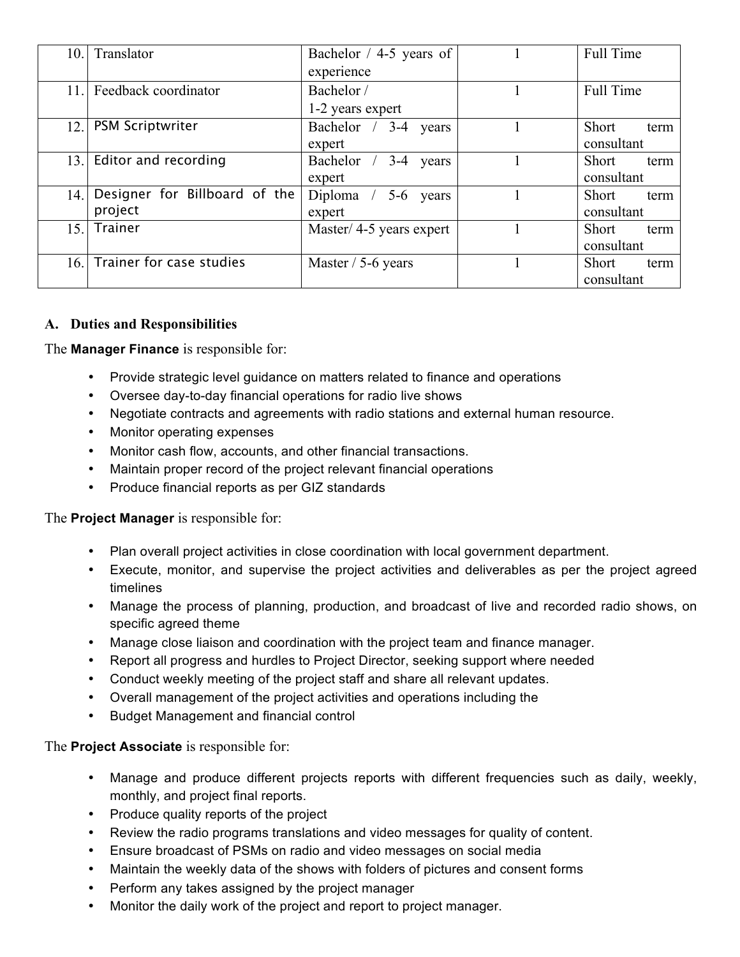| 10.I | Translator                    | Bachelor / 4-5 years of        | <b>Full Time</b>     |
|------|-------------------------------|--------------------------------|----------------------|
|      |                               | experience                     |                      |
| 11.1 | Feedback coordinator          | Bachelor /                     | Full Time            |
|      |                               | 1-2 years expert               |                      |
| 12.1 | <b>PSM Scriptwriter</b>       | Bachelor /<br>$3-4$<br>years   | Short<br>term        |
|      |                               | expert                         | consultant           |
| 13.1 | Editor and recording          | Bachelor /<br>$3 - 4$<br>years | <b>Short</b><br>term |
|      |                               | expert                         | consultant           |
| 14.1 | Designer for Billboard of the | 5-6 years<br>Diploma $/$       | <b>Short</b><br>term |
|      | project                       | expert                         | consultant           |
| 15.1 | <b>Trainer</b>                | Master/4-5 years expert        | <b>Short</b><br>term |
|      |                               |                                | consultant           |
| 16.  | Trainer for case studies      | Master $/$ 5-6 years           | <b>Short</b><br>term |
|      |                               |                                | consultant           |

### **A. Duties and Responsibilities**

The **Manager Finance** is responsible for:

- Provide strategic level guidance on matters related to finance and operations
- Oversee day-to-day financial operations for radio live shows
- Negotiate contracts and agreements with radio stations and external human resource.
- Monitor operating expenses
- Monitor cash flow, accounts, and other financial transactions.
- Maintain proper record of the project relevant financial operations
- Produce financial reports as per GIZ standards

The **Project Manager** is responsible for:

- Plan overall project activities in close coordination with local government department.
- Execute, monitor, and supervise the project activities and deliverables as per the project agreed timelines
- Manage the process of planning, production, and broadcast of live and recorded radio shows, on specific agreed theme
- Manage close liaison and coordination with the project team and finance manager.
- Report all progress and hurdles to Project Director, seeking support where needed
- Conduct weekly meeting of the project staff and share all relevant updates.
- Overall management of the project activities and operations including the
- Budget Management and financial control

The **Project Associate** is responsible for:

- Manage and produce different projects reports with different frequencies such as daily, weekly, monthly, and project final reports.
- Produce quality reports of the project
- Review the radio programs translations and video messages for quality of content.
- Ensure broadcast of PSMs on radio and video messages on social media
- Maintain the weekly data of the shows with folders of pictures and consent forms
- Perform any takes assigned by the project manager
- Monitor the daily work of the project and report to project manager.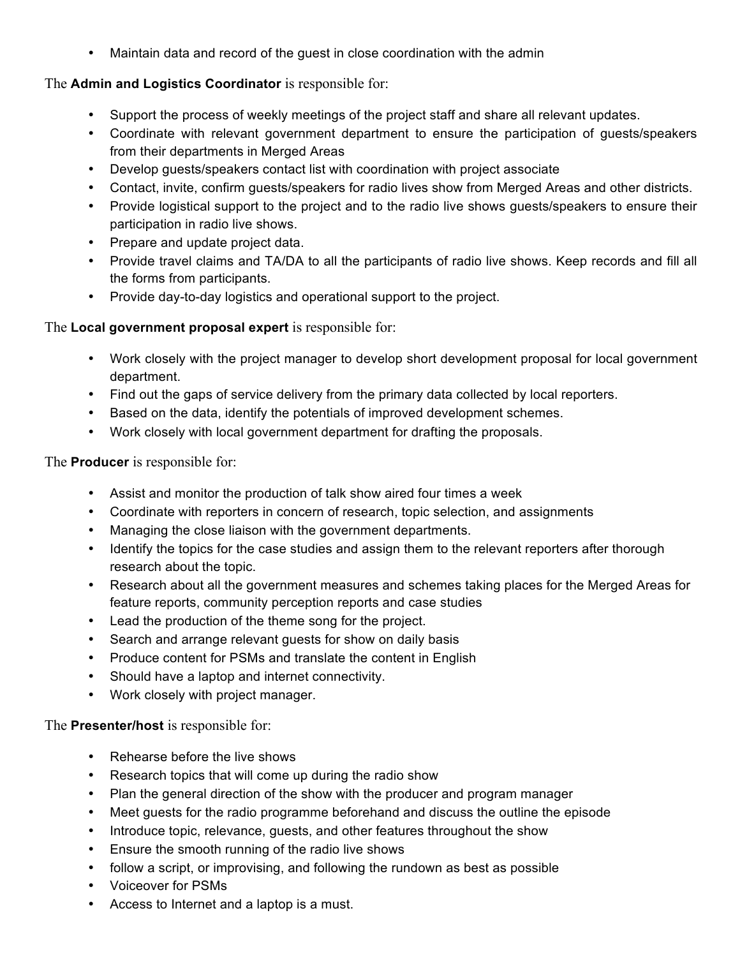• Maintain data and record of the guest in close coordination with the admin

### The **Admin and Logistics Coordinator** is responsible for:

- Support the process of weekly meetings of the project staff and share all relevant updates.
- Coordinate with relevant government department to ensure the participation of guests/speakers from their departments in Merged Areas
- Develop guests/speakers contact list with coordination with project associate
- Contact, invite, confirm guests/speakers for radio lives show from Merged Areas and other districts.
- Provide logistical support to the project and to the radio live shows guests/speakers to ensure their participation in radio live shows.
- Prepare and update project data.
- Provide travel claims and TA/DA to all the participants of radio live shows. Keep records and fill all the forms from participants.
- Provide day-to-day logistics and operational support to the project.

### The **Local government proposal expert** is responsible for:

- Work closely with the project manager to develop short development proposal for local government department.
- Find out the gaps of service delivery from the primary data collected by local reporters.
- Based on the data, identify the potentials of improved development schemes.
- Work closely with local government department for drafting the proposals.

The **Producer** is responsible for:

- Assist and monitor the production of talk show aired four times a week
- Coordinate with reporters in concern of research, topic selection, and assignments
- Managing the close liaison with the government departments.
- Identify the topics for the case studies and assign them to the relevant reporters after thorough research about the topic.
- Research about all the government measures and schemes taking places for the Merged Areas for feature reports, community perception reports and case studies
- Lead the production of the theme song for the project.
- Search and arrange relevant guests for show on daily basis
- Produce content for PSMs and translate the content in English
- Should have a laptop and internet connectivity.
- Work closely with project manager.

### The **Presenter/host** is responsible for:

- Rehearse before the live shows
- Research topics that will come up during the radio show
- Plan the general direction of the show with the producer and program manager
- Meet guests for the radio programme beforehand and discuss the outline the episode
- Introduce topic, relevance, guests, and other features throughout the show
- Ensure the smooth running of the radio live shows
- follow a script, or improvising, and following the rundown as best as possible
- Voiceover for PSMs
- Access to Internet and a laptop is a must.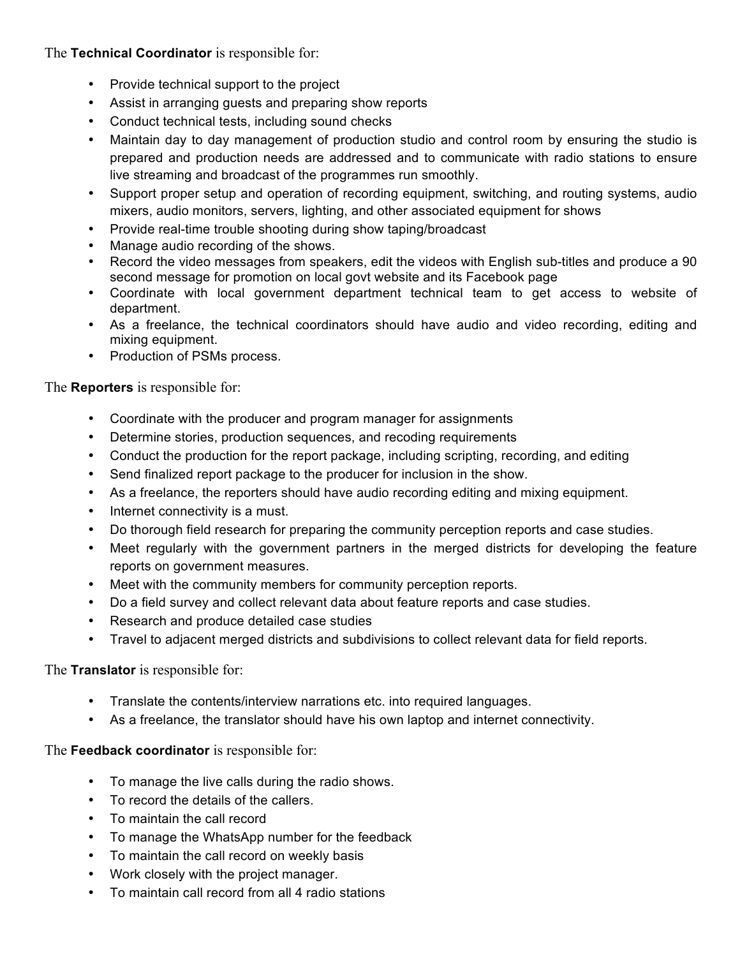The **Technical Coordinator** is responsible for:

- Provide technical support to the project
- Assist in arranging guests and preparing show reports
- Conduct technical tests, including sound checks
- Maintain day to day management of production studio and control room by ensuring the studio is prepared and production needs are addressed and to communicate with radio stations to ensure live streaming and broadcast of the programmes run smoothly.
- Support proper setup and operation of recording equipment, switching, and routing systems, audio mixers, audio monitors, servers, lighting, and other associated equipment for shows
- Provide real-time trouble shooting during show taping/broadcast
- Manage audio recording of the shows.
- Record the video messages from speakers, edit the videos with English sub-titles and produce a 90 second message for promotion on local govt website and its Facebook page
- Coordinate with local government department technical team to get access to website of department.
- As a freelance, the technical coordinators should have audio and video recording, editing and mixing equipment.
- Production of PSMs process.

The **Reporters** is responsible for:

- Coordinate with the producer and program manager for assignments
- Determine stories, production sequences, and recoding requirements
- Conduct the production for the report package, including scripting, recording, and editing
- Send finalized report package to the producer for inclusion in the show.
- As a freelance, the reporters should have audio recording editing and mixing equipment.
- Internet connectivity is a must.
- Do thorough field research for preparing the community perception reports and case studies.
- Meet regularly with the government partners in the merged districts for developing the feature reports on government measures.
- Meet with the community members for community perception reports.
- Do a field survey and collect relevant data about feature reports and case studies.
- Research and produce detailed case studies
- Travel to adjacent merged districts and subdivisions to collect relevant data for field reports.

#### The **Translator** is responsible for:

- Translate the contents/interview narrations etc. into required languages.
- As a freelance, the translator should have his own laptop and internet connectivity.

#### The **Feedback coordinator** is responsible for:

- To manage the live calls during the radio shows.
- To record the details of the callers.
- To maintain the call record
- To manage the WhatsApp number for the feedback
- To maintain the call record on weekly basis
- Work closely with the project manager.
- To maintain call record from all 4 radio stations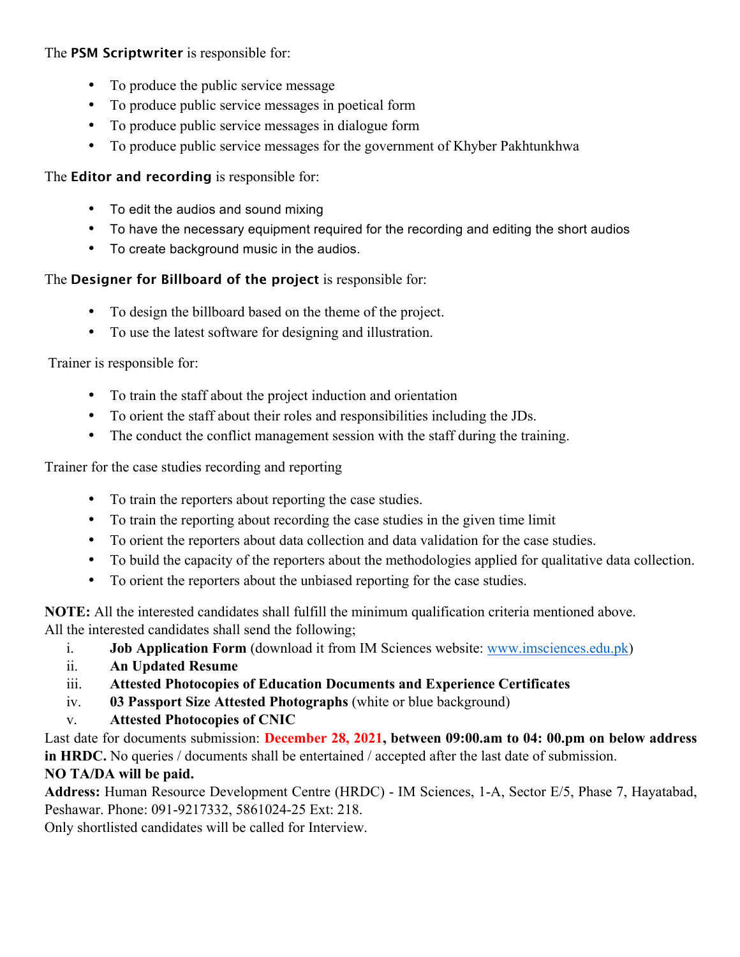# The **PSM Scriptwriter** is responsible for:

- To produce the public service message
- To produce public service messages in poetical form
- To produce public service messages in dialogue form
- To produce public service messages for the government of Khyber Pakhtunkhwa

## The **Editor and recording** is responsible for:

- To edit the audios and sound mixing
- To have the necessary equipment required for the recording and editing the short audios
- To create background music in the audios.

# The **Designer for Billboard of the project** is responsible for:

- To design the billboard based on the theme of the project.
- To use the latest software for designing and illustration.

Trainer is responsible for:

- To train the staff about the project induction and orientation
- To orient the staff about their roles and responsibilities including the JDs.
- The conduct the conflict management session with the staff during the training.

Trainer for the case studies recording and reporting

- To train the reporters about reporting the case studies.
- To train the reporting about recording the case studies in the given time limit
- To orient the reporters about data collection and data validation for the case studies.
- To build the capacity of the reporters about the methodologies applied for qualitative data collection.
- To orient the reporters about the unbiased reporting for the case studies.

**NOTE:** All the interested candidates shall fulfill the minimum qualification criteria mentioned above. All the interested candidates shall send the following;

- i. **Job Application Form** (download it from IM Sciences website: www.imsciences.edu.pk)
- ii. **An Updated Resume**
- iii. **Attested Photocopies of Education Documents and Experience Certificates**
- iv. **03 Passport Size Attested Photographs** (white or blue background)
- v. **Attested Photocopies of CNIC**

Last date for documents submission: **December 28, 2021, between 09:00.am to 04: 00.pm on below address in HRDC.** No queries / documents shall be entertained / accepted after the last date of submission.

# **NO TA/DA will be paid.**

**Address:** Human Resource Development Centre (HRDC) - IM Sciences, 1-A, Sector E/5, Phase 7, Hayatabad, Peshawar. Phone: 091-9217332, 5861024-25 Ext: 218.

Only shortlisted candidates will be called for Interview.